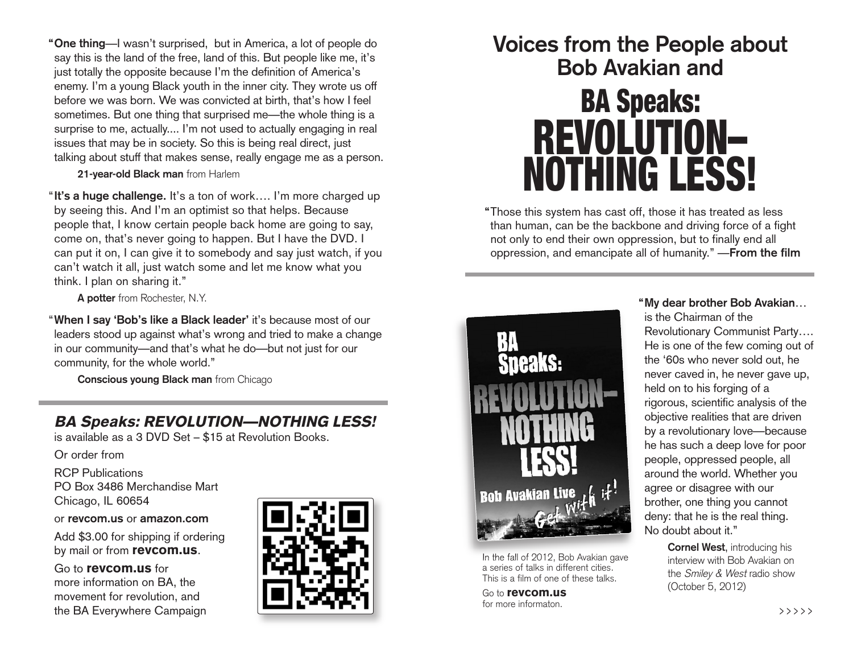**"One thing**—I wasn't surprised, but in America, a lot of people do say this is the land of the free, land of this. But people like me, it's just totally the opposite because I'm the definition of America's enemy. I'm a young Black youth in the inner city. They wrote us off before we was born. We was convicted at birth, that's how I feel sometimes. But one thing that surprised me—the whole thing is a surprise to me, actually.... I'm not used to actually engaging in real issues that may be in society. So this is being real direct, just talking about stuff that makes sense, really engage me as a person.

**21-year-old Black man** from Harlem

"**It's a huge challenge.** It's a ton of work…. I'm more charged up by seeing this. And I'm an optimist so that helps. Because people that, I know certain people back home are going to say, come on, that's never going to happen. But I have the DVD. I can put it on, I can give it to somebody and say just watch, if you can't watch it all, just watch some and let me know what you think. I plan on sharing it."

**A potter** from Rochester, N.Y.

"**When I say 'Bob's like a Black leader'** it's because most of our leaders stood up against what's wrong and tried to make a change in our community—and that's what he do—but not just for our community, for the whole world."

**Conscious young Black man** from Chicago

# **BA Speaks: REVOLUTION—NOTHING LESS!**

is available as a 3 DVD Set – \$15 at Revolution Books.

Or order from

RCP Publications PO Box 3486 Merchandise Mart Chicago, IL 60654

or **revcom.us** or **amazon.com**

Add \$3.00 for shipping if ordering by mail or from **revcom.us**.

### Go to **revcom.us** for

more information on BA, the movement for revolution, and the BA Everywhere Campaign



# **Voices from the People about Bob Avakian and**



**"**Those this system has cast off, those it has treated as less than human, can be the backbone and driving force of a fight not only to end their own oppression, but to finally end all oppression, and emancipate all of humanity." —**From the film**



In the fall of 2012, Bob Avakian gave a series of talks in different cities. This is a film of one of these talks.

Go to **revcom.us** for more informaton.

**"My dear brother Bob Avakian**… is the Chairman of the Revolutionary Communist Party…. He is one of the few coming out of the '60s who never sold out, he never caved in, he never gave up, held on to his forging of a rigorous, scientific analysis of the objective realities that are driven by a revolutionary love—because he has such a deep love for poor people, oppressed people, all around the world. Whether you agree or disagree with our brother, one thing you cannot deny: that he is the real thing. No doubt about it."

> **Cornel West**, introducing his interview with Bob Avakian on the Smiley & West radio show (October 5, 2012)